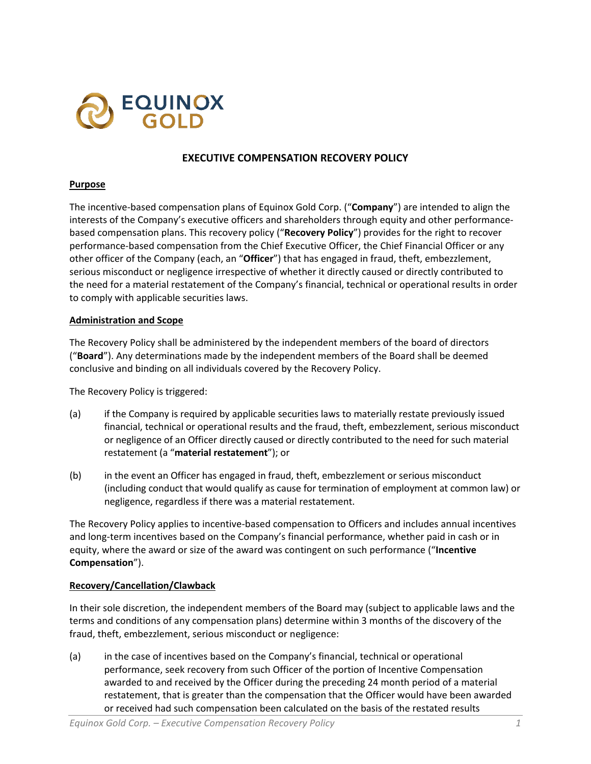

# **EXECUTIVE COMPENSATION RECOVERY POLICY**

#### **Purpose**

The incentive-based compensation plans of Equinox Gold Corp. ("**Company**") are intended to align the interests of the Company's executive officers and shareholders through equity and other performancebased compensation plans. This recovery policy ("**Recovery Policy**") provides for the right to recover performance-based compensation from the Chief Executive Officer, the Chief Financial Officer or any other officer of the Company (each, an "**Officer**") that has engaged in fraud, theft, embezzlement, serious misconduct or negligence irrespective of whether it directly caused or directly contributed to the need for a material restatement of the Company's financial, technical or operational results in order to comply with applicable securities laws.

#### **Administration and Scope**

The Recovery Policy shall be administered by the independent members of the board of directors ("**Board**"). Any determinations made by the independent members of the Board shall be deemed conclusive and binding on all individuals covered by the Recovery Policy.

The Recovery Policy is triggered:

- (a) if the Company is required by applicable securities laws to materially restate previously issued financial, technical or operational results and the fraud, theft, embezzlement, serious misconduct or negligence of an Officer directly caused or directly contributed to the need for such material restatement (a "**material restatement**"); or
- (b) in the event an Officer has engaged in fraud, theft, embezzlement or serious misconduct (including conduct that would qualify as cause for termination of employment at common law) or negligence, regardless if there was a material restatement.

The Recovery Policy applies to incentive-based compensation to Officers and includes annual incentives and long-term incentives based on the Company's financial performance, whether paid in cash or in equity, where the award or size of the award was contingent on such performance ("**Incentive Compensation**").

### **Recovery/Cancellation/Clawback**

In their sole discretion, the independent members of the Board may (subject to applicable laws and the terms and conditions of any compensation plans) determine within 3 months of the discovery of the fraud, theft, embezzlement, serious misconduct or negligence:

(a) in the case of incentives based on the Company's financial, technical or operational performance, seek recovery from such Officer of the portion of Incentive Compensation awarded to and received by the Officer during the preceding 24 month period of a material restatement, that is greater than the compensation that the Officer would have been awarded or received had such compensation been calculated on the basis of the restated results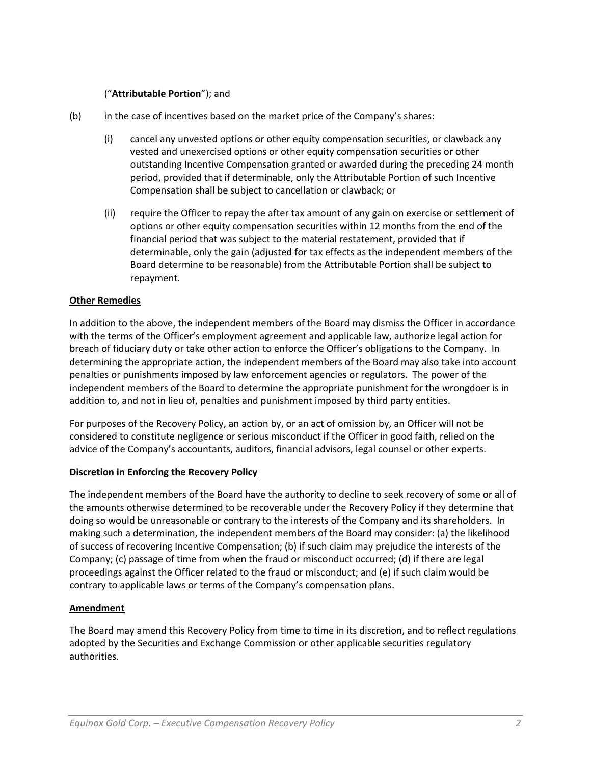## ("**Attributable Portion**"); and

- (b) in the case of incentives based on the market price of the Company's shares:
	- (i) cancel any unvested options or other equity compensation securities, or clawback any vested and unexercised options or other equity compensation securities or other outstanding Incentive Compensation granted or awarded during the preceding 24 month period, provided that if determinable, only the Attributable Portion of such Incentive Compensation shall be subject to cancellation or clawback; or
	- (ii) require the Officer to repay the after tax amount of any gain on exercise or settlement of options or other equity compensation securities within 12 months from the end of the financial period that was subject to the material restatement, provided that if determinable, only the gain (adjusted for tax effects as the independent members of the Board determine to be reasonable) from the Attributable Portion shall be subject to repayment.

### **Other Remedies**

In addition to the above, the independent members of the Board may dismiss the Officer in accordance with the terms of the Officer's employment agreement and applicable law, authorize legal action for breach of fiduciary duty or take other action to enforce the Officer's obligations to the Company. In determining the appropriate action, the independent members of the Board may also take into account penalties or punishments imposed by law enforcement agencies or regulators. The power of the independent members of the Board to determine the appropriate punishment for the wrongdoer is in addition to, and not in lieu of, penalties and punishment imposed by third party entities.

For purposes of the Recovery Policy, an action by, or an act of omission by, an Officer will not be considered to constitute negligence or serious misconduct if the Officer in good faith, relied on the advice of the Company's accountants, auditors, financial advisors, legal counsel or other experts.

### **Discretion in Enforcing the Recovery Policy**

The independent members of the Board have the authority to decline to seek recovery of some or all of the amounts otherwise determined to be recoverable under the Recovery Policy if they determine that doing so would be unreasonable or contrary to the interests of the Company and its shareholders. In making such a determination, the independent members of the Board may consider: (a) the likelihood of success of recovering Incentive Compensation; (b) if such claim may prejudice the interests of the Company; (c) passage of time from when the fraud or misconduct occurred; (d) if there are legal proceedings against the Officer related to the fraud or misconduct; and (e) if such claim would be contrary to applicable laws or terms of the Company's compensation plans.

### **Amendment**

The Board may amend this Recovery Policy from time to time in its discretion, and to reflect regulations adopted by the Securities and Exchange Commission or other applicable securities regulatory authorities.